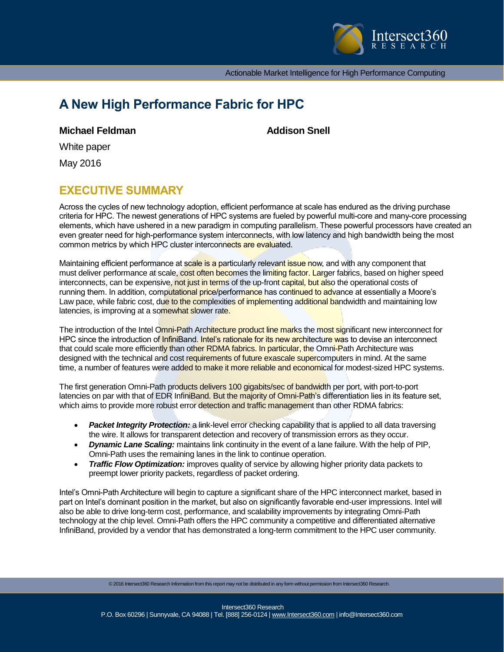

Actionable Market Intelligence for High Performance Computing

# **A New High Performance Fabric for HPC**

**Michael Feldman Addison Snell** 

White paper

May 2016

## **EXECUTIVE SUMMARY**

Across the cycles of new technology adoption, efficient performance at scale has endured as the driving purchase criteria for HPC. The newest generations of HPC systems are fueled by powerful multi-core and many-core processing elements, which have ushered in a new paradigm in computing parallelism. These powerful processors have created an even greater need for high-performance system interconnects, with low latency and high bandwidth being the most common metrics by which HPC cluster interconnects are evaluated.

Maintaining efficient performance at scale is a particularly relevant issue now, and with any component that must deliver performance at scale, cost often becomes the limiting factor. Larger fabrics, based on higher speed interconnects, can be expensive, not just in terms of the up-front capital, but also the operational costs of running them. In addition, computational price/performance has continued to advance at essentially a Moore's Law pace, while fabric cost, due to the complexities of implementing additional bandwidth and maintaining low latencies, is improving at a somewhat slower rate.

The introduction of the Intel Omni-Path Architecture product line marks the most significant new interconnect for HPC since the introduction of InfiniBand. Intel's rationale for its new architecture was to devise an interconnect that could scale more efficiently than other RDMA fabrics. In particular, the Omni-Path Architecture was designed with the technical and cost requirements of future exascale supercomputers in mind. At the same time, a number of features were added to make it more reliable and economical for modest-sized HPC systems.

The first generation Omni-Path products delivers 100 gigabits/sec of bandwidth per port, with port-to-port latencies on par with that of EDR InfiniBand. But the majority of Omni-Path's differentiation lies in its feature set, which aims to provide more robust error detection and traffic management than other RDMA fabrics:

- Packet Integrity Protection: a link-level error checking capability that is applied to all data traversing the wire. It allows for transparent detection and recovery of transmission errors as they occur.
- *Dynamic Lane Scaling:* maintains link continuity in the event of a lane failure. With the help of PIP, Omni-Path uses the remaining lanes in the link to continue operation.
- *Traffic Flow Optimization:* improves quality of service by allowing higher priority data packets to preempt lower priority packets, regardless of packet ordering.

Intel's Omni-Path Architecture will begin to capture a significant share of the HPC interconnect market, based in part on Intel's dominant position in the market, but also on significantly favorable end-user impressions. Intel will also be able to drive long-term cost, performance, and scalability improvements by integrating Omni-Path technology at the chip level. Omni-Path offers the HPC community a competitive and differentiated alternative InfiniBand, provided by a vendor that has demonstrated a long-term commitment to the HPC user community.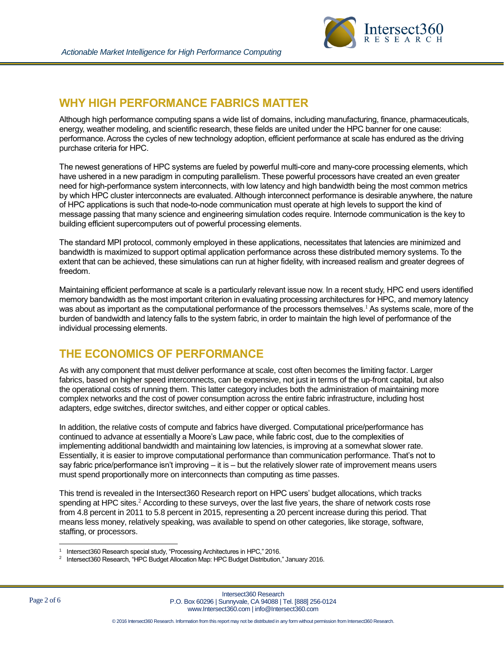

### **WHY HIGH PERFORMANCE FABRICS MATTER**

Although high performance computing spans a wide list of domains, including manufacturing, finance, pharmaceuticals, energy, weather modeling, and scientific research, these fields are united under the HPC banner for one cause: performance. Across the cycles of new technology adoption, efficient performance at scale has endured as the driving purchase criteria for HPC.

The newest generations of HPC systems are fueled by powerful multi-core and many-core processing elements, which have ushered in a new paradigm in computing parallelism. These powerful processors have created an even greater need for high-performance system interconnects, with low latency and high bandwidth being the most common metrics by which HPC cluster interconnects are evaluated. Although interconnect performance is desirable anywhere, the nature of HPC applications is such that node-to-node communication must operate at high levels to support the kind of message passing that many science and engineering simulation codes require. Internode communication is the key to building efficient supercomputers out of powerful processing elements.

The standard MPI protocol, commonly employed in these applications, necessitates that latencies are minimized and bandwidth is maximized to support optimal application performance across these distributed memory systems. To the extent that can be achieved, these simulations can run at higher fidelity, with increased realism and greater degrees of freedom.

Maintaining efficient performance at scale is a particularly relevant issue now. In a recent study, HPC end users identified memory bandwidth as the most important criterion in evaluating processing architectures for HPC, and memory latency was about as important as the computational performance of the processors themselves.<sup>1</sup> As systems scale, more of the burden of bandwidth and latency falls to the system fabric, in order to maintain the high level of performance of the individual processing elements.

### **THE ECONOMICS OF PERFORMANCE**

As with any component that must deliver performance at scale, cost often becomes the limiting factor. Larger fabrics, based on higher speed interconnects, can be expensive, not just in terms of the up-front capital, but also the operational costs of running them. This latter category includes both the administration of maintaining more complex networks and the cost of power consumption across the entire fabric infrastructure, including host adapters, edge switches, director switches, and either copper or optical cables.

In addition, the relative costs of compute and fabrics have diverged. Computational price/performance has continued to advance at essentially a Moore's Law pace, while fabric cost, due to the complexities of implementing additional bandwidth and maintaining low latencies, is improving at a somewhat slower rate. Essentially, it is easier to improve computational performance than communication performance. That's not to say fabric price/performance isn't improving – it is – but the relatively slower rate of improvement means users must spend proportionally more on interconnects than computing as time passes.

This trend is revealed in the Intersect360 Research report on HPC users' budget allocations, which tracks spending at HPC sites.<sup>2</sup> According to these surveys, over the last five years, the share of network costs rose from 4.8 percent in 2011 to 5.8 percent in 2015, representing a 20 percent increase during this period. That means less money, relatively speaking, was available to spend on other categories, like storage, software, staffing, or processors.

l 1 Intersect360 Research special study, "Processing Architectures in HPC," 2016.

<sup>2</sup> Intersect360 Research, "HPC Budget Allocation Map: HPC Budget Distribution," January 2016.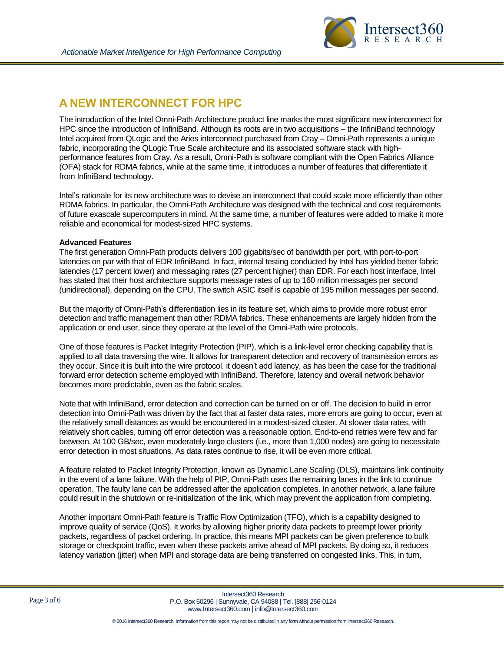

# **A NEW INTERCONNECT FOR HPC**

The introduction of the Intel Omni-Path Architecture product line marks the most significant new interconnect for HPC since the introduction of InfiniBand. Although its roots are in two acquisitions – the InfiniBand technology Intel acquired from QLogic and the Aries interconnect purchased from Cray – Omni-Path represents a unique fabric, incorporating the QLogic True Scale architecture and its associated software stack with highperformance features from Cray. As a result, Omni-Path is software compliant with the Open Fabrics Alliance (OFA) stack for RDMA fabrics, while at the same time, it introduces a number of features that differentiate it from InfiniBand technology.

Intel's rationale for its new architecture was to devise an interconnect that could scale more efficiently than other RDMA fabrics. In particular, the Omni-Path Architecture was designed with the technical and cost requirements of future exascale supercomputers in mind. At the same time, a number of features were added to make it more reliable and economical for modest-sized HPC systems.

#### **Advanced Features**

The first generation Omni-Path products delivers 100 gigabits/sec of bandwidth per port, with port-to-port latencies on par with that of EDR InfiniBand. In fact, internal testing conducted by Intel has yielded better fabric latencies (17 percent lower) and messaging rates (27 percent higher) than EDR. For each host interface, Intel has stated that their host architecture supports message rates of up to 160 million messages per second (unidirectional), depending on the CPU. The switch ASIC itself is capable of 195 million messages per second.

But the majority of Omni-Path's differentiation lies in its feature set, which aims to provide more robust error detection and traffic management than other RDMA fabrics. These enhancements are largely hidden from the application or end user, since they operate at the level of the Omni-Path wire protocols.

One of those features is Packet Integrity Protection (PIP), which is a link-level error checking capability that is applied to all data traversing the wire. It allows for transparent detection and recovery of transmission errors as they occur. Since it is built into the wire protocol, it doesn't add latency, as has been the case for the traditional forward error detection scheme employed with InfiniBand. Therefore, latency and overall network behavior becomes more predictable, even as the fabric scales.

Note that with InfiniBand, error detection and correction can be turned on or off. The decision to build in error detection into Omni-Path was driven by the fact that at faster data rates, more errors are going to occur, even at the relatively small distances as would be encountered in a modest-sized cluster. At slower data rates, with relatively short cables, turning off error detection was a reasonable option. End-to-end retries were few and far between. At 100 GB/sec, even moderately large clusters (i.e., more than 1,000 nodes) are going to necessitate error detection in most situations. As data rates continue to rise, it will be even more critical.

A feature related to Packet Integrity Protection, known as Dynamic Lane Scaling (DLS), maintains link continuity in the event of a lane failure. With the help of PIP, Omni-Path uses the remaining lanes in the link to continue operation. The faulty lane can be addressed after the application completes. In another network, a lane failure could result in the shutdown or re-initialization of the link, which may prevent the application from completing.

Another important Omni-Path feature is Traffic Flow Optimization (TFO), which is a capability designed to improve quality of service (QoS). It works by allowing higher priority data packets to preempt lower priority packets, regardless of packet ordering. In practice, this means MPI packets can be given preference to bulk storage or checkpoint traffic, even when these packets arrive ahead of MPI packets. By doing so, it reduces latency variation (jitter) when MPI and storage data are being transferred on congested links. This, in turn,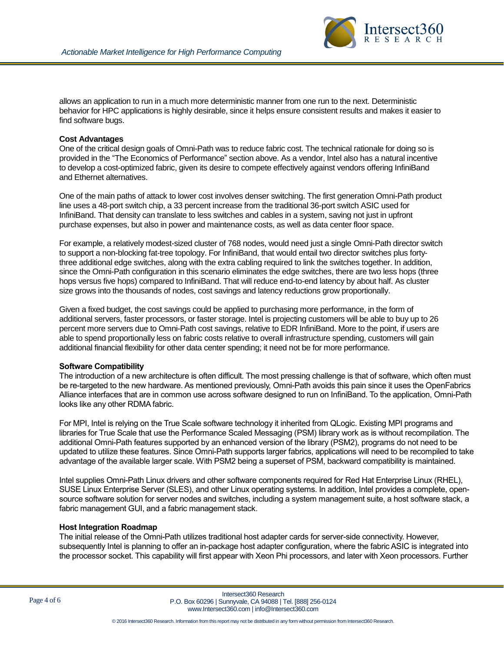

allows an application to run in a much more deterministic manner from one run to the next. Deterministic behavior for HPC applications is highly desirable, since it helps ensure consistent results and makes it easier to find software bugs.

#### **Cost Advantages**

One of the critical design goals of Omni-Path was to reduce fabric cost. The technical rationale for doing so is provided in the "The Economics of Performance" section above. As a vendor, Intel also has a natural incentive to develop a cost-optimized fabric, given its desire to compete effectively against vendors offering InfiniBand and Ethernet alternatives.

One of the main paths of attack to lower cost involves denser switching. The first generation Omni-Path product line uses a 48-port switch chip, a 33 percent increase from the traditional 36-port switch ASIC used for InfiniBand. That density can translate to less switches and cables in a system, saving not just in upfront purchase expenses, but also in power and maintenance costs, as well as data center floor space.

For example, a relatively modest-sized cluster of 768 nodes, would need just a single Omni-Path director switch to support a non-blocking fat-tree topology. For InfiniBand, that would entail two director switches plus fortythree additional edge switches, along with the extra cabling required to link the switches together. In addition, since the Omni-Path configuration in this scenario eliminates the edge switches, there are two less hops (three hops versus five hops) compared to InfiniBand. That will reduce end-to-end latency by about half. As cluster size grows into the thousands of nodes, cost savings and latency reductions grow proportionally.

Given a fixed budget, the cost savings could be applied to purchasing more performance, in the form of additional servers, faster processors, or faster storage. Intel is projecting customers will be able to buy up to 26 percent more servers due to Omni-Path cost savings, relative to EDR InfiniBand. More to the point, if users are able to spend proportionally less on fabric costs relative to overall infrastructure spending, customers will gain additional financial flexibility for other data center spending; it need not be for more performance.

#### **Software Compatibility**

The introduction of a new architecture is often difficult. The most pressing challenge is that of software, which often must be re-targeted to the new hardware. As mentioned previously, Omni-Path avoids this pain since it uses the OpenFabrics Alliance interfaces that are in common use across software designed to run on InfiniBand. To the application, Omni-Path looks like any other RDMA fabric.

For MPI, Intel is relying on the True Scale software technology it inherited from QLogic. Existing MPI programs and libraries for True Scale that use the Performance Scaled Messaging (PSM) library work as is without recompilation. The additional Omni-Path features supported by an enhanced version of the library (PSM2), programs do not need to be updated to utilize these features. Since Omni-Path supports larger fabrics, applications will need to be recompiled to take advantage of the available larger scale. With PSM2 being a superset of PSM, backward compatibility is maintained.

Intel supplies Omni-Path Linux drivers and other software components required for Red Hat Enterprise Linux (RHEL), SUSE Linux Enterprise Server (SLES), and other Linux operating systems. In addition, Intel provides a complete, opensource software solution for server nodes and switches, including a system management suite, a host software stack, a fabric management GUI, and a fabric management stack.

#### **Host Integration Roadmap**

The initial release of the Omni-Path utilizes traditional host adapter cards for server-side connectivity. However, subsequently Intel is planning to offer an in-package host adapter configuration, where the fabric ASIC is integrated into the processor socket. This capability will first appear with Xeon Phi processors, and later with Xeon processors. Further

Intersect360 Research P.O. Box 60296 | Sunnyvale, CA 94088 | Tel. [888] 256-0124 www.Intersect360.com | info@Intersect360.com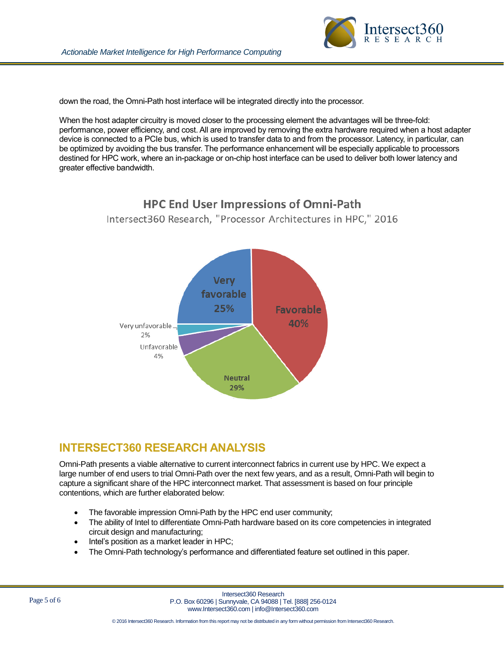

down the road, the Omni-Path host interface will be integrated directly into the processor.

When the host adapter circuitry is moved closer to the processing element the advantages will be three-fold: performance, power efficiency, and cost. All are improved by removing the extra hardware required when a host adapter device is connected to a PCIe bus, which is used to transfer data to and from the processor. Latency, in particular, can be optimized by avoiding the bus transfer. The performance enhancement will be especially applicable to processors destined for HPC work, where an in-package or on-chip host interface can be used to deliver both lower latency and greater effective bandwidth.



## **INTERSECT360 RESEARCH ANALYSIS**

Omni-Path presents a viable alternative to current interconnect fabrics in current use by HPC. We expect a large number of end users to trial Omni-Path over the next few years, and as a result, Omni-Path will begin to capture a significant share of the HPC interconnect market. That assessment is based on four principle contentions, which are further elaborated below:

- The favorable impression Omni-Path by the HPC end user community;
- The ability of Intel to differentiate Omni-Path hardware based on its core competencies in integrated circuit design and manufacturing;
- Intel's position as a market leader in HPC;
- The Omni-Path technology's performance and differentiated feature set outlined in this paper.

Intersect360 Research P.O. Box 60296 | Sunnyvale, CA 94088 | Tel. [888] 256-0124 www.Intersect360.com | info@Intersect360.com